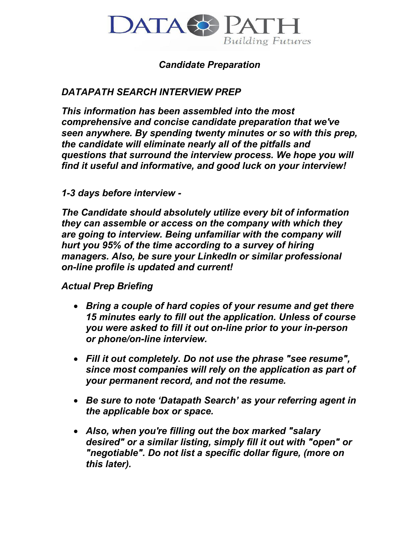

## *Candidate Preparation*

# *DATAPATH SEARCH INTERVIEW PREP*

*This information has been assembled into the most comprehensive and concise candidate preparation that we've seen anywhere. By spending twenty minutes or so with this prep, the candidate will eliminate nearly all of the pitfalls and questions that surround the interview process. We hope you will find it useful and informative, and good luck on your interview!* 

### *1-3 days before interview -*

*The Candidate should absolutely utilize every bit of information they can assemble or access on the company with which they are going to interview. Being unfamiliar with the company will hurt you 95% of the time according to a survey of hiring managers. Also, be sure your LinkedIn or similar professional on-line profile is updated and current!* 

### *Actual Prep Briefing*

- *Bring a couple of hard copies of your resume and get there 15 minutes early to fill out the application. Unless of course you were asked to fill it out on-line prior to your in-person or phone/on-line interview.*
- *Fill it out completely. Do not use the phrase "see resume", since most companies will rely on the application as part of your permanent record, and not the resume.*
- *Be sure to note 'Datapath Search' as your referring agent in the applicable box or space.*
- *Also, when you're filling out the box marked "salary desired" or a similar listing, simply fill it out with "open" or "negotiable". Do not list a specific dollar figure, (more on this later).*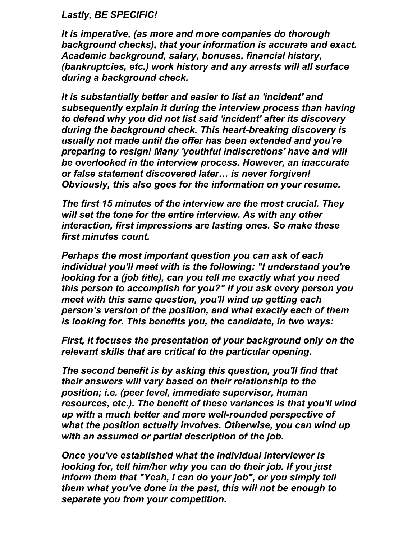#### *Lastly, BE SPECIFIC!*

*It is imperative, (as more and more companies do thorough background checks), that your information is accurate and exact. Academic background, salary, bonuses, financial history, (bankruptcies, etc.) work history and any arrests will all surface during a background check.* 

*It is substantially better and easier to list an 'incident' and subsequently explain it during the interview process than having to defend why you did not list said 'incident' after its discovery during the background check. This heart-breaking discovery is usually not made until the offer has been extended and you're preparing to resign! Many 'youthful indiscretions' have and will be overlooked in the interview process. However, an inaccurate or false statement discovered later… is never forgiven! Obviously, this also goes for the information on your resume.* 

*The first 15 minutes of the interview are the most crucial. They will set the tone for the entire interview. As with any other interaction, first impressions are lasting ones. So make these first minutes count.* 

*Perhaps the most important question you can ask of each individual you'll meet with is the following: "I understand you're looking for a (job title), can you tell me exactly what you need this person to accomplish for you?" If you ask every person you meet with this same question, you'll wind up getting each person's version of the position, and what exactly each of them is looking for. This benefits you, the candidate, in two ways:* 

*First, it focuses the presentation of your background only on the relevant skills that are critical to the particular opening.* 

*The second benefit is by asking this question, you'll find that their answers will vary based on their relationship to the position; i.e. (peer level, immediate supervisor, human resources, etc.). The benefit of these variances is that you'll wind up with a much better and more well-rounded perspective of what the position actually involves. Otherwise, you can wind up with an assumed or partial description of the job.* 

*Once you've established what the individual interviewer is looking for, tell him/her why you can do their job. If you just inform them that "Yeah, I can do your job", or you simply tell them what you've done in the past, this will not be enough to separate you from your competition.*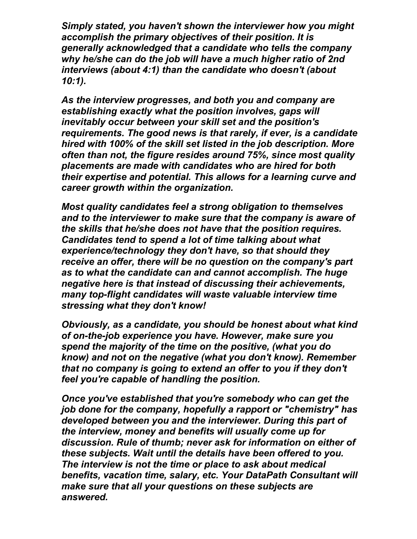*Simply stated, you haven't shown the interviewer how you might accomplish the primary objectives of their position. It is generally acknowledged that a candidate who tells the company why he/she can do the job will have a much higher ratio of 2nd interviews (about 4:1) than the candidate who doesn't (about 10:1).* 

*As the interview progresses, and both you and company are establishing exactly what the position involves, gaps will inevitably occur between your skill set and the position's requirements. The good news is that rarely, if ever, is a candidate hired with 100% of the skill set listed in the job description. More often than not, the figure resides around 75%, since most quality placements are made with candidates who are hired for both their expertise and potential. This allows for a learning curve and career growth within the organization.* 

*Most quality candidates feel a strong obligation to themselves and to the interviewer to make sure that the company is aware of the skills that he/she does not have that the position requires. Candidates tend to spend a lot of time talking about what experience/technology they don't have, so that should they receive an offer, there will be no question on the company's part as to what the candidate can and cannot accomplish. The huge negative here is that instead of discussing their achievements, many top-flight candidates will waste valuable interview time stressing what they don't know!* 

*Obviously, as a candidate, you should be honest about what kind of on-the-job experience you have. However, make sure you spend the majority of the time on the positive, (what you do know) and not on the negative (what you don't know). Remember that no company is going to extend an offer to you if they don't feel you're capable of handling the position.* 

*Once you've established that you're somebody who can get the job done for the company, hopefully a rapport or "chemistry" has developed between you and the interviewer. During this part of the interview, money and benefits will usually come up for discussion. Rule of thumb; never ask for information on either of these subjects. Wait until the details have been offered to you. The interview is not the time or place to ask about medical benefits, vacation time, salary, etc. Your DataPath Consultant will make sure that all your questions on these subjects are answered.*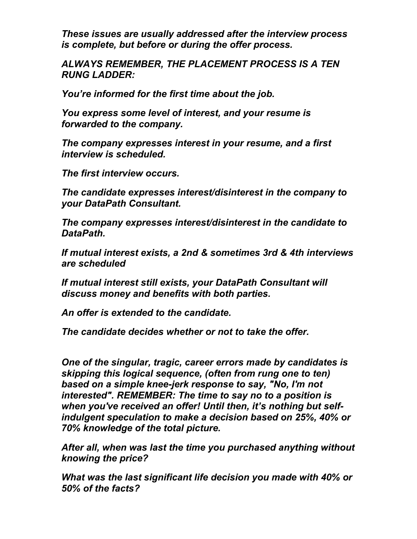*These issues are usually addressed after the interview process is complete, but before or during the offer process.* 

*ALWAYS REMEMBER, THE PLACEMENT PROCESS IS A TEN RUNG LADDER:* 

*You're informed for the first time about the job.* 

*You express some level of interest, and your resume is forwarded to the company.* 

*The company expresses interest in your resume, and a first interview is scheduled.* 

*The first interview occurs.* 

*The candidate expresses interest/disinterest in the company to your DataPath Consultant.* 

*The company expresses interest/disinterest in the candidate to DataPath.* 

*If mutual interest exists, a 2nd & sometimes 3rd & 4th interviews are scheduled* 

*If mutual interest still exists, your DataPath Consultant will discuss money and benefits with both parties.* 

*An offer is extended to the candidate.* 

*The candidate decides whether or not to take the offer.* 

*One of the singular, tragic, career errors made by candidates is skipping this logical sequence, (often from rung one to ten) based on a simple knee-jerk response to say, "No, I'm not interested". REMEMBER: The time to say no to a position is when you've received an offer! Until then, it's nothing but selfindulgent speculation to make a decision based on 25%, 40% or 70% knowledge of the total picture.* 

*After all, when was last the time you purchased anything without knowing the price?* 

*What was the last significant life decision you made with 40% or 50% of the facts?*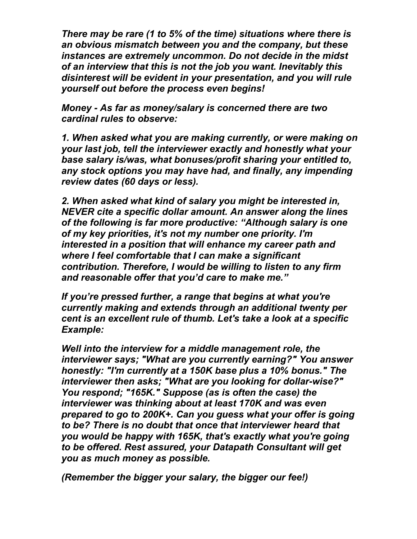*There may be rare (1 to 5% of the time) situations where there is an obvious mismatch between you and the company, but these instances are extremely uncommon. Do not decide in the midst of an interview that this is not the job you want. Inevitably this disinterest will be evident in your presentation, and you will rule yourself out before the process even begins!* 

*Money - As far as money/salary is concerned there are two cardinal rules to observe:* 

*1. When asked what you are making currently, or were making on your last job, tell the interviewer exactly and honestly what your base salary is/was, what bonuses/profit sharing your entitled to, any stock options you may have had, and finally, any impending review dates (60 days or less).* 

*2. When asked what kind of salary you might be interested in, NEVER cite a specific dollar amount. An answer along the lines of the following is far more productive: "Although salary is one of my key priorities, it's not my number one priority. I'm interested in a position that will enhance my career path and where I feel comfortable that I can make a significant contribution. Therefore, I would be willing to listen to any firm and reasonable offer that you'd care to make me."* 

*If you're pressed further, a range that begins at what you're currently making and extends through an additional twenty per cent is an excellent rule of thumb. Let's take a look at a specific Example:* 

*Well into the interview for a middle management role, the interviewer says; "What are you currently earning?" You answer honestly: "I'm currently at a 150K base plus a 10% bonus." The interviewer then asks; "What are you looking for dollar-wise?" You respond; "165K." Suppose (as is often the case) the interviewer was thinking about at least 170K and was even prepared to go to 200K+. Can you guess what your offer is going to be? There is no doubt that once that interviewer heard that you would be happy with 165K, that's exactly what you're going to be offered. Rest assured, your Datapath Consultant will get you as much money as possible.* 

*(Remember the bigger your salary, the bigger our fee!)*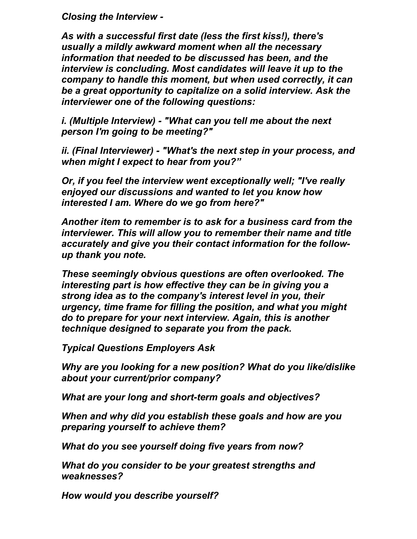*Closing the Interview -* 

*As with a successful first date (less the first kiss!), there's usually a mildly awkward moment when all the necessary information that needed to be discussed has been, and the interview is concluding. Most candidates will leave it up to the company to handle this moment, but when used correctly, it can be a great opportunity to capitalize on a solid interview. Ask the interviewer one of the following questions:* 

*i. (Multiple Interview) - "What can you tell me about the next person I'm going to be meeting?"* 

*ii. (Final Interviewer) - "What's the next step in your process, and when might I expect to hear from you?"* 

*Or, if you feel the interview went exceptionally well; "I've really enjoyed our discussions and wanted to let you know how interested I am. Where do we go from here?"* 

*Another item to remember is to ask for a business card from the interviewer. This will allow you to remember their name and title accurately and give you their contact information for the followup thank you note.* 

*These seemingly obvious questions are often overlooked. The interesting part is how effective they can be in giving you a strong idea as to the company's interest level in you, their urgency, time frame for filling the position, and what you might do to prepare for your next interview. Again, this is another technique designed to separate you from the pack.* 

*Typical Questions Employers Ask* 

*Why are you looking for a new position? What do you like/dislike about your current/prior company?* 

*What are your long and short-term goals and objectives?* 

*When and why did you establish these goals and how are you preparing yourself to achieve them?* 

*What do you see yourself doing five years from now?* 

*What do you consider to be your greatest strengths and weaknesses?* 

*How would you describe yourself?*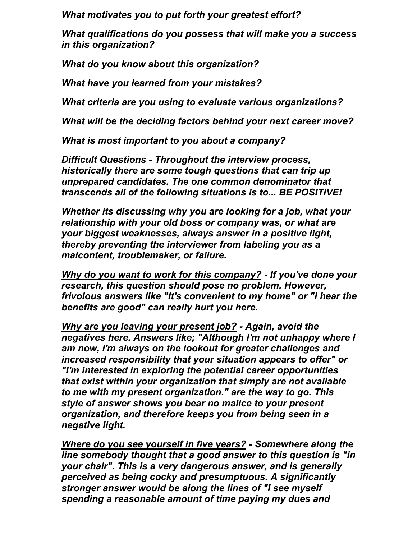*What motivates you to put forth your greatest effort?* 

*What qualifications do you possess that will make you a success in this organization?* 

*What do you know about this organization?* 

*What have you learned from your mistakes?* 

*What criteria are you using to evaluate various organizations?* 

*What will be the deciding factors behind your next career move?* 

*What is most important to you about a company?* 

*Difficult Questions - Throughout the interview process, historically there are some tough questions that can trip up unprepared candidates. The one common denominator that transcends all of the following situations is to... BE POSITIVE!* 

*Whether its discussing why you are looking for a job, what your relationship with your old boss or company was, or what are your biggest weaknesses, always answer in a positive light, thereby preventing the interviewer from labeling you as a malcontent, troublemaker, or failure.* 

*Why do you want to work for this company? - If you've done your research, this question should pose no problem. However, frivolous answers like "It's convenient to my home" or "I hear the benefits are good" can really hurt you here.* 

*Why are you leaving your present job? - Again, avoid the negatives here. Answers like; "Although I'm not unhappy where I am now, I'm always on the lookout for greater challenges and increased responsibility that your situation appears to offer" or "I'm interested in exploring the potential career opportunities that exist within your organization that simply are not available to me with my present organization." are the way to go. This style of answer shows you bear no malice to your present organization, and therefore keeps you from being seen in a negative light.* 

*Where do you see yourself in five years? - Somewhere along the line somebody thought that a good answer to this question is "in your chair". This is a very dangerous answer, and is generally perceived as being cocky and presumptuous. A significantly stronger answer would be along the lines of "I see myself spending a reasonable amount of time paying my dues and*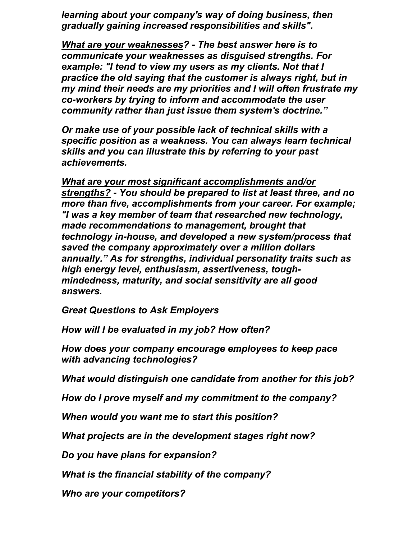*learning about your company's way of doing business, then gradually gaining increased responsibilities and skills".* 

*What are your weaknesses? - The best answer here is to communicate your weaknesses as disguised strengths. For example: "I tend to view my users as my clients. Not that I practice the old saying that the customer is always right, but in my mind their needs are my priorities and I will often frustrate my co-workers by trying to inform and accommodate the user community rather than just issue them system's doctrine."* 

*Or make use of your possible lack of technical skills with a specific position as a weakness. You can always learn technical skills and you can illustrate this by referring to your past achievements.* 

*What are your most significant accomplishments and/or strengths? - You should be prepared to list at least three, and no more than five, accomplishments from your career. For example; "I was a key member of team that researched new technology, made recommendations to management, brought that technology in-house, and developed a new system/process that saved the company approximately over a million dollars annually." As for strengths, individual personality traits such as high energy level, enthusiasm, assertiveness, toughmindedness, maturity, and social sensitivity are all good answers.* 

*Great Questions to Ask Employers* 

*How will I be evaluated in my job? How often?* 

*How does your company encourage employees to keep pace with advancing technologies?* 

*What would distinguish one candidate from another for this job?* 

*How do I prove myself and my commitment to the company?* 

*When would you want me to start this position?* 

*What projects are in the development stages right now?* 

*Do you have plans for expansion?* 

*What is the financial stability of the company?* 

*Who are your competitors?*